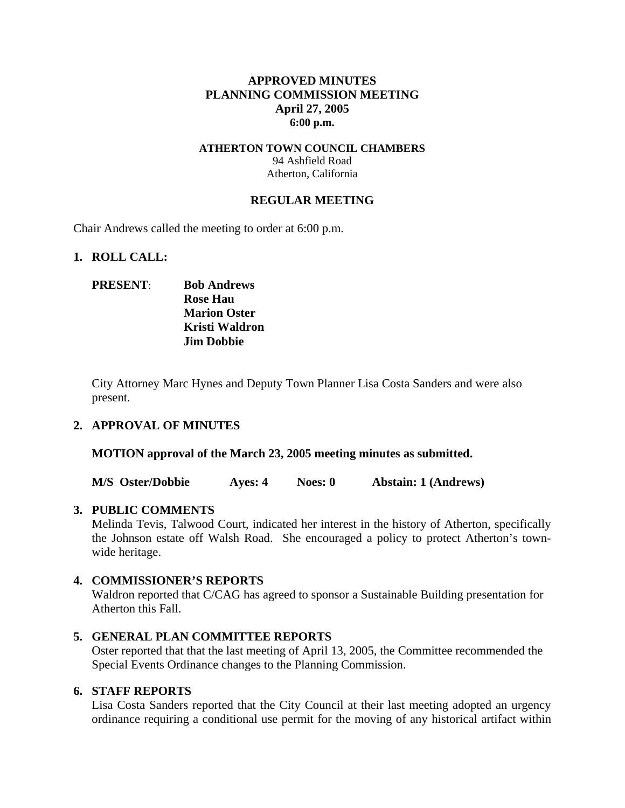# **APPROVED MINUTES PLANNING COMMISSION MEETING April 27, 2005 6:00 p.m.**

### **ATHERTON TOWN COUNCIL CHAMBERS**  94 Ashfield Road Atherton, California

## **REGULAR MEETING**

Chair Andrews called the meeting to order at 6:00 p.m.

## **1. ROLL CALL:**

# **PRESENT**: **Bob Andrews Rose Hau Marion Oster Kristi Waldron Jim Dobbie**

City Attorney Marc Hynes and Deputy Town Planner Lisa Costa Sanders and were also present.

## **2. APPROVAL OF MINUTES**

**MOTION approval of the March 23, 2005 meeting minutes as submitted.** 

**M/S Oster/Dobbie Ayes: 4 Noes: 0 Abstain: 1 (Andrews)** 

## **3. PUBLIC COMMENTS**

Melinda Tevis, Talwood Court, indicated her interest in the history of Atherton, specifically the Johnson estate off Walsh Road. She encouraged a policy to protect Atherton's townwide heritage.

## **4. COMMISSIONER'S REPORTS**

Waldron reported that C/CAG has agreed to sponsor a Sustainable Building presentation for Atherton this Fall.

## **5. GENERAL PLAN COMMITTEE REPORTS**

Oster reported that that the last meeting of April 13, 2005, the Committee recommended the Special Events Ordinance changes to the Planning Commission.

#### **6. STAFF REPORTS**

Lisa Costa Sanders reported that the City Council at their last meeting adopted an urgency ordinance requiring a conditional use permit for the moving of any historical artifact within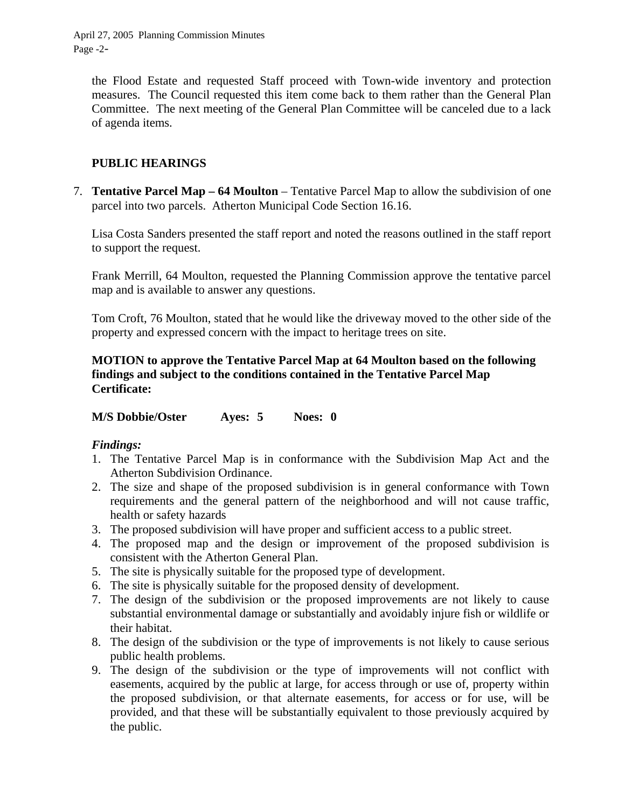April 27, 2005 Planning Commission Minutes Page -2-

the Flood Estate and requested Staff proceed with Town-wide inventory and protection measures. The Council requested this item come back to them rather than the General Plan Committee. The next meeting of the General Plan Committee will be canceled due to a lack of agenda items.

# **PUBLIC HEARINGS**

7. **Tentative Parcel Map – 64 Moulton** – Tentative Parcel Map to allow the subdivision of one parcel into two parcels. Atherton Municipal Code Section 16.16.

Lisa Costa Sanders presented the staff report and noted the reasons outlined in the staff report to support the request.

Frank Merrill, 64 Moulton, requested the Planning Commission approve the tentative parcel map and is available to answer any questions.

Tom Croft, 76 Moulton, stated that he would like the driveway moved to the other side of the property and expressed concern with the impact to heritage trees on site.

# **MOTION to approve the Tentative Parcel Map at 64 Moulton based on the following findings and subject to the conditions contained in the Tentative Parcel Map Certificate:**

**M/S Dobbie/Oster Ayes: 5 Noes: 0** 

## *Findings:*

- 1. The Tentative Parcel Map is in conformance with the Subdivision Map Act and the Atherton Subdivision Ordinance.
- 2. The size and shape of the proposed subdivision is in general conformance with Town requirements and the general pattern of the neighborhood and will not cause traffic, health or safety hazards
- 3. The proposed subdivision will have proper and sufficient access to a public street.
- 4. The proposed map and the design or improvement of the proposed subdivision is consistent with the Atherton General Plan.
- 5. The site is physically suitable for the proposed type of development.
- 6. The site is physically suitable for the proposed density of development.
- 7. The design of the subdivision or the proposed improvements are not likely to cause substantial environmental damage or substantially and avoidably injure fish or wildlife or their habitat.
- 8. The design of the subdivision or the type of improvements is not likely to cause serious public health problems.
- 9. The design of the subdivision or the type of improvements will not conflict with easements, acquired by the public at large, for access through or use of, property within the proposed subdivision, or that alternate easements, for access or for use, will be provided, and that these will be substantially equivalent to those previously acquired by the public.